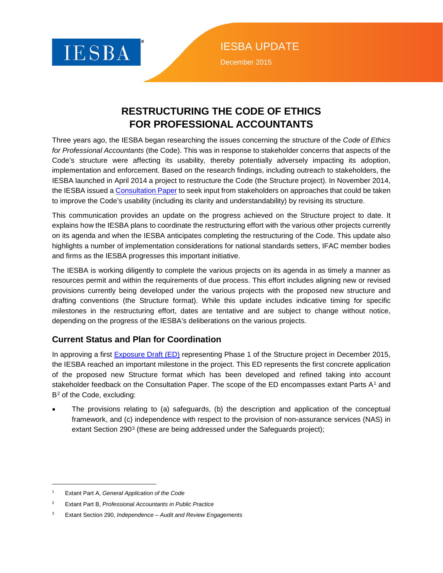

IESBA UPDATE December 2015

### **RESTRUCTURING THE CODE OF ETHICS FOR PROFESSIONAL ACCOUNTANTS**

Three years ago, the IESBA began researching the issues concerning the structure of the *Code of Ethics for Professional Accountants* (the Code). This was in response to stakeholder concerns that aspects of the Code's structure were affecting its usability, thereby potentially adversely impacting its adoption, implementation and enforcement. Based on the research findings, including outreach to stakeholders, the IESBA launched in April 2014 a project to restructure the Code (the Structure project). In November 2014, the IESBA issued a [Consultation Paper](https://www.ifac.org/publications-resources/improving-structure-code-ethics-professional-accountants) to seek input from stakeholders on approaches that could be taken to improve the Code's usability (including its clarity and understandability) by revising its structure.

This communication provides an update on the progress achieved on the Structure project to date. It explains how the IESBA plans to coordinate the restructuring effort with the various other projects currently on its agenda and when the IESBA anticipates completing the restructuring of the Code. This update also highlights a number of implementation considerations for national standards setters, IFAC member bodies and firms as the IESBA progresses this important initiative.

The IESBA is working diligently to complete the various projects on its agenda in as timely a manner as resources permit and within the requirements of due process. This effort includes aligning new or revised provisions currently being developed under the various projects with the proposed new structure and drafting conventions (the Structure format). While this update includes indicative timing for specific milestones in the restructuring effort, dates are tentative and are subject to change without notice, depending on the progress of the IESBA's deliberations on the various projects.

#### **Current Status and Plan for Coordination**

In approving a first **Exposure Draft (ED)** representing Phase 1 of the Structure project in December 2015, the IESBA reached an important milestone in the project. This ED represents the first concrete application of the proposed new Structure format which has been developed and refined taking into account stakeholder feedback on the Consultation Paper. The scope of the ED encompasses extant Parts  $A<sup>1</sup>$  $A<sup>1</sup>$  $A<sup>1</sup>$  and B<sup>[2](#page-0-1)</sup> of the Code, excluding:

• The provisions relating to (a) safeguards, (b) the description and application of the conceptual framework, and (c) independence with respect to the provision of non-assurance services (NAS) in extant Section 290<sup>[3](#page-0-2)</sup> (these are being addressed under the Safeguards project);

 $\overline{a}$ 

<span id="page-0-0"></span><sup>1</sup> Extant Part A, *General Application of the Code*

<span id="page-0-1"></span><sup>2</sup> Extant Part B, *Professional Accountants in Public Practice*

<span id="page-0-2"></span><sup>3</sup> Extant Section 290, *Independence – Audit and Review Engagements*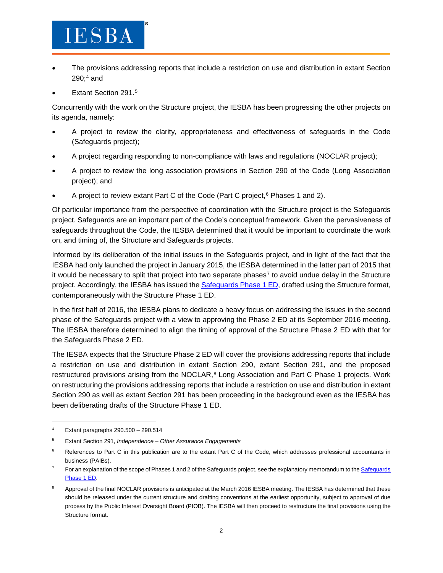### **IESBA**

- The provisions addressing reports that include a restriction on use and distribution in extant Section  $290;4$  $290;4$  and
- Extant Section 291.<sup>[5](#page-1-1)</sup>

Concurrently with the work on the Structure project, the IESBA has been progressing the other projects on its agenda, namely:

- A project to review the clarity, appropriateness and effectiveness of safeguards in the Code (Safeguards project);
- A project regarding responding to non-compliance with laws and regulations (NOCLAR project);
- A project to review the long association provisions in Section 290 of the Code (Long Association project); and
- A project to review extant Part C of the Code (Part C project, $6$  Phases 1 and 2).

Of particular importance from the perspective of coordination with the Structure project is the Safeguards project. Safeguards are an important part of the Code's conceptual framework. Given the pervasiveness of safeguards throughout the Code, the IESBA determined that it would be important to coordinate the work on, and timing of, the Structure and Safeguards projects.

Informed by its deliberation of the initial issues in the Safeguards project, and in light of the fact that the IESBA had only launched the project in January 2015, the IESBA determined in the latter part of 2015 that it would be necessary to split that project into two separate phases<sup>[7](#page-1-3)</sup> to avoid undue delay in the Structure project. Accordingly, the IESBA has issued the [Safeguards Phase 1 ED,](https://www.ifac.org/publications-resources/proposed-revisions-pertaining-safeguards-code-phase-1) drafted using the Structure format, contemporaneously with the Structure Phase 1 ED.

In the first half of 2016, the IESBA plans to dedicate a heavy focus on addressing the issues in the second phase of the Safeguards project with a view to approving the Phase 2 ED at its September 2016 meeting. The IESBA therefore determined to align the timing of approval of the Structure Phase 2 ED with that for the Safeguards Phase 2 ED.

The IESBA expects that the Structure Phase 2 ED will cover the provisions addressing reports that include a restriction on use and distribution in extant Section 290, extant Section 291, and the proposed restructured provisions arising from the NOCLAR,<sup>[8](#page-1-4)</sup> Long Association and Part C Phase 1 projects. Work on restructuring the provisions addressing reports that include a restriction on use and distribution in extant Section 290 as well as extant Section 291 has been proceeding in the background even as the IESBA has been deliberating drafts of the Structure Phase 1 ED.

 $\overline{a}$ 

<span id="page-1-0"></span> $4$  Extant paragraphs 290.500 - 290.514

<span id="page-1-1"></span><sup>5</sup> Extant Section 291, *Independence – Other Assurance Engagements*

<span id="page-1-2"></span><sup>&</sup>lt;sup>6</sup> References to Part C in this publication are to the extant Part C of the Code, which addresses professional accountants in business (PAIBs).

<span id="page-1-3"></span>For an explanation of the scope of Phases 1 and 2 of th[e Safeguards](https://www.ifac.org/publications-resources/proposed-revisions-pertaining-safeguards-code-phase-1) project, see the explanatory memorandum to the Safeguards [Phase 1 ED.](https://www.ifac.org/publications-resources/proposed-revisions-pertaining-safeguards-code-phase-1)

<span id="page-1-4"></span><sup>&</sup>lt;sup>8</sup> Approval of the final NOCLAR provisions is anticipated at the March 2016 IESBA meeting. The IESBA has determined that these should be released under the current structure and drafting conventions at the earliest opportunity, subject to approval of due process by the Public Interest Oversight Board (PIOB). The IESBA will then proceed to restructure the final provisions using the Structure format.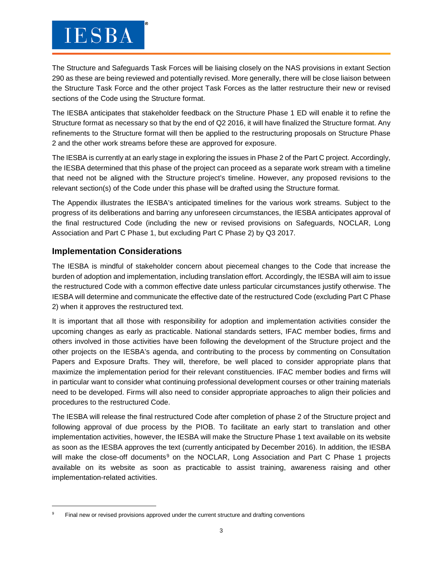## **IESBA**

The Structure and Safeguards Task Forces will be liaising closely on the NAS provisions in extant Section 290 as these are being reviewed and potentially revised. More generally, there will be close liaison between the Structure Task Force and the other project Task Forces as the latter restructure their new or revised sections of the Code using the Structure format.

The IESBA anticipates that stakeholder feedback on the Structure Phase 1 ED will enable it to refine the Structure format as necessary so that by the end of Q2 2016, it will have finalized the Structure format. Any refinements to the Structure format will then be applied to the restructuring proposals on Structure Phase 2 and the other work streams before these are approved for exposure.

The IESBA is currently at an early stage in exploring the issues in Phase 2 of the Part C project. Accordingly, the IESBA determined that this phase of the project can proceed as a separate work stream with a timeline that need not be aligned with the Structure project's timeline. However, any proposed revisions to the relevant section(s) of the Code under this phase will be drafted using the Structure format.

The Appendix illustrates the IESBA's anticipated timelines for the various work streams. Subject to the progress of its deliberations and barring any unforeseen circumstances, the IESBA anticipates approval of the final restructured Code (including the new or revised provisions on Safeguards, NOCLAR, Long Association and Part C Phase 1, but excluding Part C Phase 2) by Q3 2017.

#### **Implementation Considerations**

 $\overline{a}$ 

The IESBA is mindful of stakeholder concern about piecemeal changes to the Code that increase the burden of adoption and implementation, including translation effort. Accordingly, the IESBA will aim to issue the restructured Code with a common effective date unless particular circumstances justify otherwise. The IESBA will determine and communicate the effective date of the restructured Code (excluding Part C Phase 2) when it approves the restructured text.

It is important that all those with responsibility for adoption and implementation activities consider the upcoming changes as early as practicable. National standards setters, IFAC member bodies, firms and others involved in those activities have been following the development of the Structure project and the other projects on the IESBA's agenda, and contributing to the process by commenting on Consultation Papers and Exposure Drafts. They will, therefore, be well placed to consider appropriate plans that maximize the implementation period for their relevant constituencies. IFAC member bodies and firms will in particular want to consider what continuing professional development courses or other training materials need to be developed. Firms will also need to consider appropriate approaches to align their policies and procedures to the restructured Code.

The IESBA will release the final restructured Code after completion of phase 2 of the Structure project and following approval of due process by the PIOB. To facilitate an early start to translation and other implementation activities, however, the IESBA will make the Structure Phase 1 text available on its website as soon as the IESBA approves the text (currently anticipated by December 2016). In addition, the IESBA will make the close-off documents<sup>[9](#page-2-0)</sup> on the NOCLAR, Long Association and Part C Phase 1 projects available on its website as soon as practicable to assist training, awareness raising and other implementation-related activities.

<span id="page-2-0"></span>Final new or revised provisions approved under the current structure and drafting conventions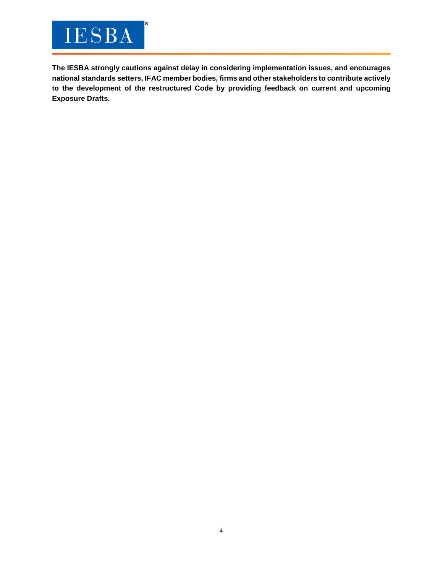# **IESBA**

**The IESBA strongly cautions against delay in considering implementation issues, and encourages national standards setters, IFAC member bodies, firms and other stakeholders to contribute actively to the development of the restructured Code by providing feedback on current and upcoming Exposure Drafts.**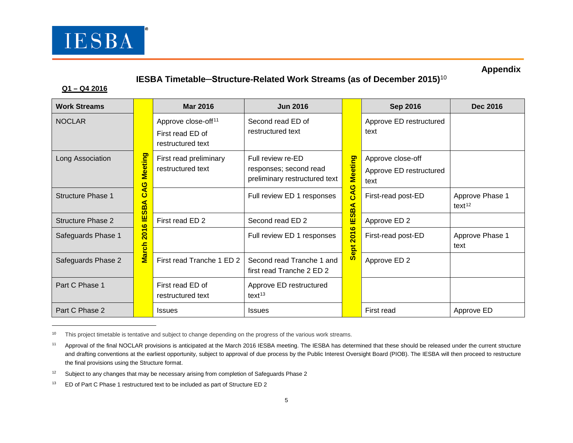

### <span id="page-4-3"></span><span id="page-4-2"></span><span id="page-4-1"></span><span id="page-4-0"></span>**Appendix**

### **IESBA Timetable─Structure-Related Work Streams (as of December 2015)**[10](#page-4-0)

#### **Q1 – Q4 2016**

 $\overline{a}$ 

| <b>Work Streams</b>      |                                                                     | <b>Mar 2016</b>                                                          | <b>Jun 2016</b>                                                              |                                                    | <b>Sep 2016</b>                                      | <b>Dec 2016</b>                       |
|--------------------------|---------------------------------------------------------------------|--------------------------------------------------------------------------|------------------------------------------------------------------------------|----------------------------------------------------|------------------------------------------------------|---------------------------------------|
| <b>NOCLAR</b>            | Meeting<br>ပ<br>⋖<br>ပ<br>⋖<br>മ<br>$\boldsymbol{\omega}$<br>Ш<br>ဖ | Approve close-off <sup>11</sup><br>First read ED of<br>restructured text | Second read ED of<br>restructured text                                       | Meeting<br>ပ<br>⋖<br>Ő<br>⋖<br><u>ന്</u><br>ທ<br>щ | Approve ED restructured<br>text                      |                                       |
| Long Association         |                                                                     | First read preliminary<br>restructured text                              | Full review re-ED<br>responses; second read<br>preliminary restructured text |                                                    | Approve close-off<br>Approve ED restructured<br>text |                                       |
| <b>Structure Phase 1</b> |                                                                     |                                                                          | Full review ED 1 responses                                                   |                                                    | First-read post-ED                                   | Approve Phase 1<br>text <sup>12</sup> |
| <b>Structure Phase 2</b> |                                                                     | First read ED 2                                                          | Second read ED 2                                                             |                                                    | Approve ED 2                                         |                                       |
| Safeguards Phase 1       | $\overline{5}$<br><mark>fch</mark>                                  |                                                                          | Full review ED 1 responses                                                   | ဖ<br>$\overline{201}$<br>ept                       | First-read post-ED                                   | Approve Phase 1<br>text               |
| Safeguards Phase 2       | <b>R</b>                                                            | First read Tranche 1 ED 2                                                | Second read Tranche 1 and<br>first read Tranche 2 ED 2                       | ഗ                                                  | Approve ED 2                                         |                                       |
| Part C Phase 1           |                                                                     | First read ED of<br>restructured text                                    | Approve ED restructured<br>$text{text}^{13}$                                 |                                                    |                                                      |                                       |
| Part C Phase 2           |                                                                     | <b>Issues</b>                                                            | <b>Issues</b>                                                                |                                                    | First read                                           | Approve ED                            |

<sup>&</sup>lt;sup>10</sup> This project timetable is tentative and subject to change depending on the progress of the various work streams.

<sup>&</sup>lt;sup>11</sup> Approval of the final NOCLAR provisions is anticipated at the March 2016 IESBA meeting. The IESBA has determined that these should be released under the current structure and drafting conventions at the earliest opportunity, subject to approval of due process by the Public Interest Oversight Board (PIOB). The IESBA will then proceed to restructure the final provisions using the Structure format.

 $12$  Subject to any changes that may be necessary arising from completion of Safeguards Phase 2

<sup>&</sup>lt;sup>13</sup> ED of Part C Phase 1 restructured text to be included as part of Structure ED 2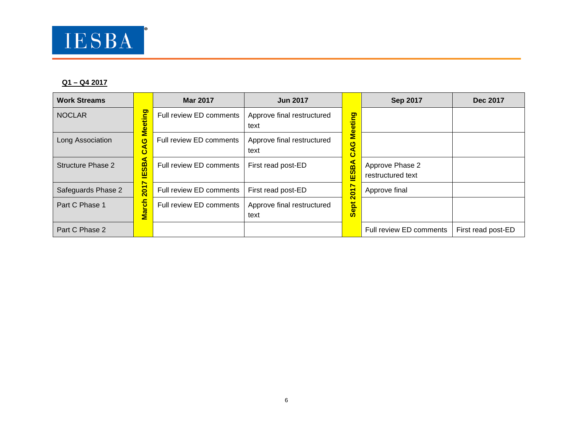

#### **Q1 – Q4 2017**

| <b>Work Streams</b> |                                       | <b>Mar 2017</b>         | <b>Jun 2017</b>                    |                                                   | <b>Sep 2017</b>                      | <b>Dec 2017</b>    |
|---------------------|---------------------------------------|-------------------------|------------------------------------|---------------------------------------------------|--------------------------------------|--------------------|
| <b>NOCLAR</b>       | ting<br>Š<br>O<br>⋖<br>ت<br>⋖<br>ESB. | Full review ED comments | Approve final restructured<br>text | Meeting<br>ဖ<br>a<br>Ő<br>٩<br>m<br><b>G</b><br>ш |                                      |                    |
| Long Association    |                                       | Full review ED comments | Approve final restructured<br>text |                                                   |                                      |                    |
| Structure Phase 2   |                                       | Full review ED comments | First read post-ED                 |                                                   | Approve Phase 2<br>restructured text |                    |
| Safeguards Phase 2  | ∼<br>$\overline{201}$                 | Full review ED comments | First read post-ED                 | r<br>៵                                            | Approve final                        |                    |
| Part C Phase 1      | <b>March</b>                          | Full review ED comments | Approve final restructured<br>text | $\overline{\mathbf{c}}$<br>힉<br>စ္တ               |                                      |                    |
| Part C Phase 2      |                                       |                         |                                    |                                                   | Full review ED comments              | First read post-ED |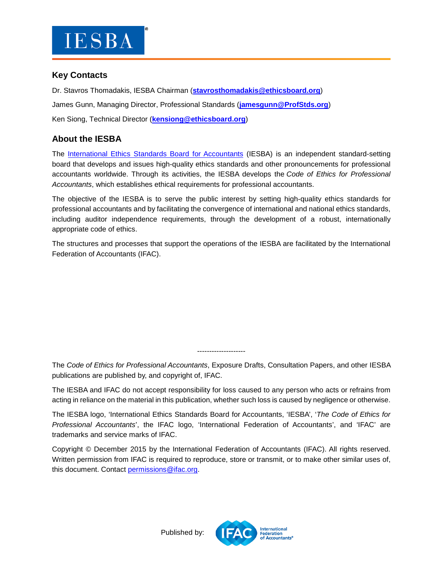

#### **Key Contacts**

Dr. Stavros Thomadakis, IESBA Chairman (**[stavrosthomadakis@ethicsboard.org](mailto:stavrosthomadakis@ethicsboard.org)**) James Gunn, Managing Director, Professional Standards (**[jamesgunn@ProfStds.org](mailto:jamesgunn@ProfStds.org)**) Ken Siong, Technical Director (**[kensiong@ethicsboard.org](mailto:kensiong@ethicsboard.org)**)

### **About the IESBA**

The [International Ethics Standards Board for Accountants](http://www.ethicsboard.org/) (IESBA) is an independent standard-setting board that develops and issues high-quality ethics standards and other pronouncements for professional accountants worldwide. Through its activities, the IESBA develops the *Code of Ethics for Professional Accountants*, which establishes ethical requirements for professional accountants.

The objective of the IESBA is to serve the public interest by setting high-quality ethics standards for professional accountants and by facilitating the convergence of international and national ethics standards, including auditor independence requirements, through the development of a robust, internationally appropriate code of ethics.

The structures and processes that support the operations of the IESBA are facilitated by the International Federation of Accountants (IFAC).

The *Code of Ethics for Professional Accountants*, Exposure Drafts, Consultation Papers, and other IESBA publications are published by, and copyright of, IFAC.

--------------------

The IESBA and IFAC do not accept responsibility for loss caused to any person who acts or refrains from acting in reliance on the material in this publication, whether such loss is caused by negligence or otherwise.

The IESBA logo, 'International Ethics Standards Board for Accountants, 'IESBA', '*The Code of Ethics for Professional Accountants*', the IFAC logo, 'International Federation of Accountants', and 'IFAC' are trademarks and service marks of IFAC.

Copyright © December 2015 by the International Federation of Accountants (IFAC). All rights reserved. Written permission from IFAC is required to reproduce, store or transmit, or to make other similar uses of, this document. Contact [permissions@ifac.org.](mailto:permissions@ifac.org)